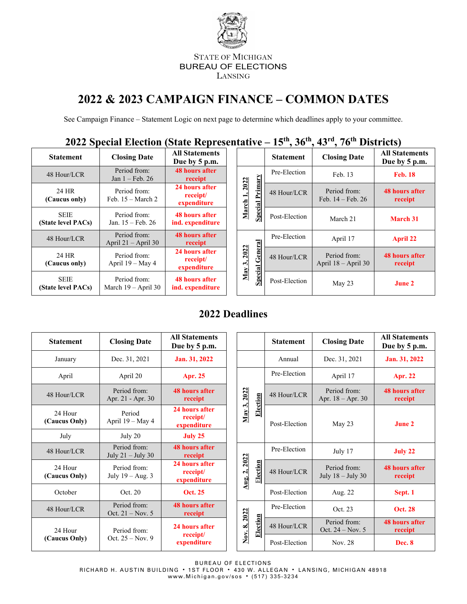

#### STATE OF MICHIGAN BUREAU OF ELECTIONS LANSING

# **2022 & 2023 CAMPAIGN FINANCE – COMMON DATES**

See Campaign Finance – Statement Logic on next page to determine which deadlines apply to your committee.

**2022 Special Election (State Representative – 15th , 36th, 43rd, 76th Districts)**

| <b>Statement</b>                  | <b>Closing Date</b>                       | <b>All Statements</b><br>Due by 5 p.m.    |
|-----------------------------------|-------------------------------------------|-------------------------------------------|
| 48 Hour/LCR                       | Period from:<br>Jan $1 - \text{Feb. } 26$ | <b>48 hours after</b><br>receipt          |
| 24 HR<br>(Caucus only)            | Period from:<br>Feb. $15 - March 2$       | 24 hours after<br>receipt/<br>expenditure |
| <b>SEIE</b><br>(State level PACs) | Period from:<br>Jan. 15 – Feb. 26         | <b>48 hours after</b><br>ind. expenditure |
| 48 Hour/LCR                       | Period from:<br>April $21 -$ April 30     | <b>48 hours after</b><br>receipt          |
| 24 HR<br>(Caucus only)            | Period from:<br>April 19 – May 4          | 24 hours after<br>receipt/<br>expenditure |
| SEIE<br>(State level PACs)        | Period from:<br>March $19 -$ April 30     | <b>48 hours after</b><br>ind. expenditure |

| tate ixepi escritati ve                   |  |                                                      |                |                  | $10,00,00$ , $10,00$ Districts        |                                        |                                       |                                  |
|-------------------------------------------|--|------------------------------------------------------|----------------|------------------|---------------------------------------|----------------------------------------|---------------------------------------|----------------------------------|
| <b>All Statements</b><br>Due by 5 p.m.    |  |                                                      |                | <b>Statement</b> | <b>Closing Date</b>                   | <b>All Statements</b><br>Due by 5 p.m. |                                       |                                  |
| <b>48 hours after</b><br>receipt          |  |                                                      |                | Pre-Election     | Feb. 13                               | <b>Feb. 18</b>                         |                                       |                                  |
| 24 hours after<br>receipt/<br>expenditure |  | Primary<br><b>2022</b><br>March 1,<br><b>Special</b> |                |                  |                                       | 48 Hour/LCR                            | Period from:<br>Feb. $14 -$ Feb. $26$ | <b>48 hours after</b><br>receipt |
| <b>48 hours after</b><br>nd. expenditure  |  |                                                      |                | Post-Election    | March 21                              | <b>March 31</b>                        |                                       |                                  |
| <b>48 hours after</b><br>receipt          |  |                                                      |                | Pre-Election     | April 17                              | <b>April 22</b>                        |                                       |                                  |
| 24 hours after<br>receipt/<br>expenditure |  | General<br>2022<br>May 3,                            |                | 48 Hour/LCR      | Period from:<br>April $18 -$ April 30 | <b>48 hours after</b><br>receipt       |                                       |                                  |
| <b>48 hours after</b><br>nd. expenditure  |  |                                                      | <b>Special</b> | Post-Election    | May 23                                | <b>June 2</b>                          |                                       |                                  |

## **2022 Deadlines**

| <b>Statement</b>                                               | <b>Closing Date</b>                 | <b>All Statements</b><br>Due by 5 p.m.    |         |                              |          | <b>Statement</b> | <b>Closing Date</b>                 | <b>All Statements</b><br>Due by 5 p.m. |
|----------------------------------------------------------------|-------------------------------------|-------------------------------------------|---------|------------------------------|----------|------------------|-------------------------------------|----------------------------------------|
| January                                                        | Dec. 31, 2021                       | Jan. 31, 2022                             |         |                              |          | Annual           | Dec. 31, 2021                       | Jan. 31, 2022                          |
| April                                                          | April 20                            | <b>Apr. 25</b>                            |         |                              |          | Pre-Election     | April 17                            | <b>Apr. 22</b>                         |
| 48 Hour/LCR                                                    | Period from:<br>Apr. 21 - Apr. 30   | <b>48 hours after</b><br>receipt          |         | 2022                         | Election | 48 Hour/LCR      | Period from:<br>Apr. $18 -$ Apr. 30 | <b>48 hours after</b><br>receipt       |
| 24 Hour<br>(Caucus Only)                                       | Period<br>April 19 - May 4          | 24 hours after<br>receipt/<br>expenditure |         | May 3,                       |          | Post-Election    | May 23                              | <b>June 2</b>                          |
| July                                                           | July 20                             | July 25                                   |         |                              |          |                  |                                     |                                        |
| 48 Hour/LCR                                                    | Period from:<br>July $21 -$ July 30 | <b>48 hours after</b><br>receipt          |         |                              |          | Pre-Election     | July 17                             | July 22                                |
| 24 Hour<br>(Caucus Only)                                       | Period from:<br>July $19 - Aug. 3$  | 24 hours after<br>receipt/<br>expenditure |         | 2022<br>$\mathbf{a}$<br>Aug. | Election | 48 Hour/LCR      | Period from:<br>July $18 -$ July 30 | <b>48 hours after</b><br>receipt       |
| October                                                        | Oct. 20                             | <b>Oct. 25</b>                            |         |                              |          | Post-Election    | Aug. 22                             | Sept. 1                                |
| 48 Hour/LCR                                                    | Period from:<br>Oct. $21 - Nov. 5$  | <b>48 hours after</b><br>receipt          |         | 2022                         |          | Pre-Election     | Oct. 23                             | <b>Oct. 28</b>                         |
| 24 Hour                                                        | Period from:                        | 24 hours after                            |         | ထံ                           | Election | 48 Hour/LCR      | Period from:<br>Oct. 24 - Nov. 5    | <b>48 hours after</b><br>receipt       |
| receipt/<br>Oct. $25 - Nov. 9$<br>(Caucus Only)<br>expenditure | Nοv.                                | Post-Election                             | Nov. 28 | Dec. 8                       |          |                  |                                     |                                        |

BUREAU OF ELECTIONS RICHARD H. AUSTIN BUILDING · 1ST FLOOR · 430 W. ALLEGAN · LANSING, MICHIGAN 48918 [www.Michigan.gov/sos](http://www.michigan.gov/sos) • (517) 335-3234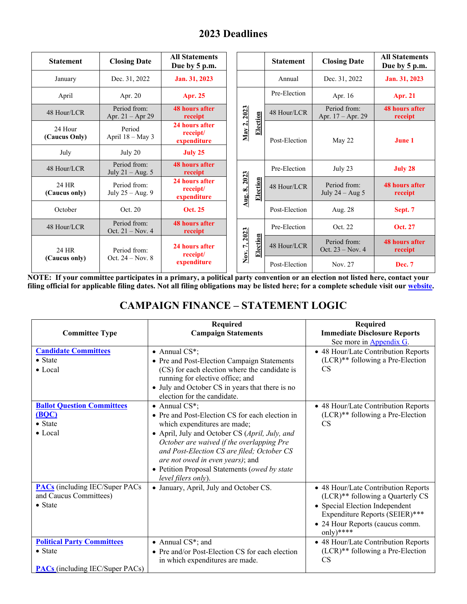| <b>Statement</b>         | <b>Closing Date</b>                | <b>All Statements</b><br>Due by 5 p.m.    |                          |          | <b>Statement</b> | <b>Closing Date</b>                | <b>All Statements</b><br>Due by 5 p.m. |
|--------------------------|------------------------------------|-------------------------------------------|--------------------------|----------|------------------|------------------------------------|----------------------------------------|
| January                  | Dec. 31, 2022                      | Jan. 31, 2023                             |                          |          | Annual           | Dec. 31, 2022                      | Jan. 31, 2023                          |
| April                    | Apr. 20                            | Apr. 25                                   |                          |          | Pre-Election     | Apr. 16                            | <b>Apr. 21</b>                         |
| 48 Hour/LCR              | Period from:<br>Apr. $21 -$ Apr 29 | <b>48 hours after</b><br>receipt          | 2023                     |          | 48 Hour/LCR      | Period from:<br>Apr. 17 – Apr. 29  | <b>48 hours after</b><br>receipt       |
| 24 Hour<br>(Caucus Only) | Period<br>April 18 - May 3         | 24 hours after<br>receipt/<br>expenditure | $\mathbf{r}$<br>May      | Election | Post-Election    | May 22                             | June 1                                 |
| July                     | July 20                            | July 25                                   |                          |          |                  |                                    |                                        |
| 48 Hour/LCR              | Period from:<br>July $21 - Aug. 5$ | <b>48 hours after</b><br>receipt          |                          |          | Pre-Election     | July 23                            | July 28                                |
| 24 HR<br>(Caucus only)   | Period from:<br>July $25 - Aug. 9$ | 24 hours after<br>receipt/<br>expenditure | 2023<br>∞<br><u>Aug.</u> | Election | 48 Hour/LCR      | Period from:<br>July $24 - Aug\ 5$ | <b>48 hours after</b><br>receipt       |
| October                  | Oct. 20                            | <b>Oct. 25</b>                            |                          |          | Post-Election    | Aug. 28                            | Sept. 7                                |
| 48 Hour/LCR              | Period from:<br>Oct. $21 - Nov. 4$ | <b>48 hours after</b><br>receipt          | 2023                     |          | Pre-Election     | Oct. 22                            | <b>Oct. 27</b>                         |
| 24 HR                    | Period from:                       | 24 hours after<br>receipt/                | Γ.                       | Election | 48 Hour/LCR      | Period from:<br>Oct. $23 - Nov. 4$ | <b>48 hours after</b><br>receipt       |
| (Caucus only)            | Oct. $24 - Nov. 8$                 | expenditure                               | Nοv.                     |          | Post-Election    | Nov. 27                            | <b>Dec. 7</b>                          |

**NOTE: If your committee participates in a primary, a political party convention or an election not listed here, contact your filing official for applicable filing dates. Not all filing obligations may be listed here; for a complete schedule visit our [website.](https://mertsplus.com/mertsuserguide/index.php?n=MANUALS.GeneralInformation)**

# **CAMPAIGN FINANCE – STATEMENT LOGIC**

|                                        | Required                                        | Required                            |
|----------------------------------------|-------------------------------------------------|-------------------------------------|
| <b>Committee Type</b>                  | <b>Campaign Statements</b>                      | <b>Immediate Disclosure Reports</b> |
|                                        |                                                 | See more in Appendix G.             |
| <b>Candidate Committees</b>            | $\bullet$ Annual CS*;                           | • 48 Hour/Late Contribution Reports |
| • State                                | • Pre and Post-Election Campaign Statements     | $(LCR)**$ following a Pre-Election  |
| $\bullet$ Local                        | (CS) for each election where the candidate is   | <b>CS</b>                           |
|                                        | running for elective office; and                |                                     |
|                                        | • July and October CS in years that there is no |                                     |
|                                        | election for the candidate.                     |                                     |
| <b>Ballot Question Committees</b>      | $\bullet$ Annual CS*;                           | • 48 Hour/Late Contribution Reports |
| (BOC)                                  | • Pre and Post-Election CS for each election in | $(LCR)**$ following a Pre-Election  |
| • State                                | which expenditures are made;                    | <b>CS</b>                           |
| $\bullet$ Local                        | • April, July and October CS (April, July, and  |                                     |
|                                        | October are waived if the overlapping Pre       |                                     |
|                                        | and Post-Election CS are filed; October CS      |                                     |
|                                        | are not owed in even years); and                |                                     |
|                                        | • Petition Proposal Statements (owed by state   |                                     |
|                                        | level filers only).                             |                                     |
| <b>PACs</b> (including IEC/Super PACs) | • January, April, July and October CS.          | • 48 Hour/Late Contribution Reports |
| and Caucus Committees)                 |                                                 | (LCR)** following a Quarterly CS    |
| • State                                |                                                 | • Special Election Independent      |
|                                        |                                                 | Expenditure Reports (SEIER)***      |
|                                        |                                                 | • 24 Hour Reports (caucus comm.     |
|                                        |                                                 | only)****                           |
| <b>Political Party Committees</b>      | • Annual CS*; and                               | • 48 Hour/Late Contribution Reports |
| $\bullet$ State                        | • Pre and/or Post-Election CS for each election | $(LCR)**$ following a Pre-Election  |
|                                        | in which expenditures are made.                 | <b>CS</b>                           |
| <b>PACs</b> (including IEC/Super PACs) |                                                 |                                     |